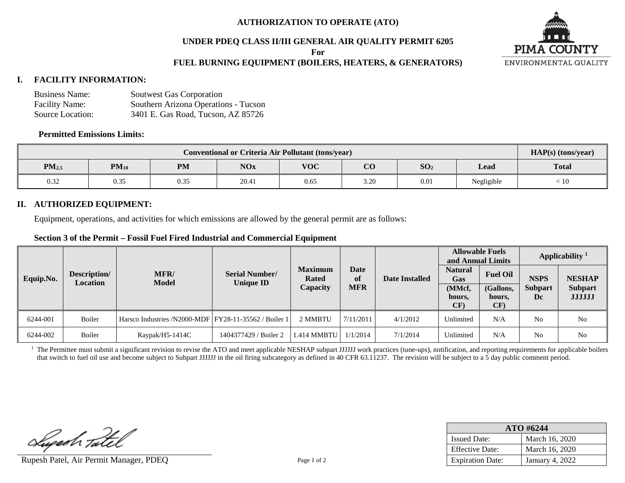### **AUTHORIZATION TO OPERATE (ATO)**

### **UNDER PDEQ CLASS II/III GENERAL AIR QUALITY PERMIT 6205**

**For**

# **FUEL BURNING EQUIPMENT (BOILERS, HEATERS, & GENERATORS)**

### **I. FACILITY INFORMATION:**

| <b>Business Name:</b> | Soutwest Gas Corporation             |
|-----------------------|--------------------------------------|
| <b>Facility Name:</b> | Southern Arizona Operations - Tucson |
| Source Location:      | 3401 E. Gas Road, Tucson, AZ 85726   |

#### **Permitted Emissions Limits:**

| <b>Conventional or Criteria Air Pollutant (tons/year)</b> |           |           |            |            |                                |                 |            | $HAP(s)$ (tons/year)       |
|-----------------------------------------------------------|-----------|-----------|------------|------------|--------------------------------|-----------------|------------|----------------------------|
| PM <sub>2.5</sub>                                         | $PM_{10}$ | <b>PM</b> | <b>NOx</b> | <b>VOC</b> | $\alpha$<br>U U                | SO <sub>2</sub> | Lead       | <b>Total</b>               |
| 0.32                                                      | 0.35      | 0.35      | 20.41      | 0.65       | $\sim$ $\sim$ $\sim$<br>∖ که ب | 0.01            | Negligible | $\stackrel{<}{_{\sim}} 10$ |

### **II. AUTHORIZED EQUIPMENT:**

Equipment, operations, and activities for which emissions are allowed by the general permit are as follows:

### **Section 3 of the Permit – Fossil Fuel Fired Industrial and Commercial Equipment**

| Description/<br>Equip.No.<br><b>Location</b> |        |                                                       |                                           |                                |            | Date Installed | <b>Allowable Fuels</b><br>and Annual Limits |                            | Applicability <sup>1</sup> |                                 |
|----------------------------------------------|--------|-------------------------------------------------------|-------------------------------------------|--------------------------------|------------|----------------|---------------------------------------------|----------------------------|----------------------------|---------------------------------|
|                                              |        | MFR/<br><b>Model</b>                                  | <b>Serial Number/</b><br><b>Unique ID</b> | <b>Maximum</b><br><b>Rated</b> | Date<br>of |                | <b>Natural</b><br>Gas                       | <b>Fuel Oil</b>            | <b>NSPS</b>                | <b>NESHAP</b>                   |
|                                              |        |                                                       |                                           | Capacity                       | <b>MFR</b> |                | (MMcf,<br>hours,<br>CF)                     | (Gallons,<br>hours,<br>CF) | <b>Subpart</b><br>Dc       | <b>Subpart</b><br><b>JJJJJJ</b> |
| 6244-001                                     | Boiler | Harsco Industries /N2000-MDF FY28-11-35562 / Boiler 1 |                                           | 2 MMBTU                        | 7/11/2011  | 4/1/2012       | Unlimited                                   | N/A                        | No                         | No                              |
| 6244-002                                     | Boiler | $Raypak/H5-1414C$                                     | 1404377429 / Boiler 2                     | 1.414 MMBTU                    | 1/1/2014   | 7/1/2014       | Unlimited                                   | N/A                        | No                         | No                              |

<sup>1</sup> The Permittee must submit a significant revision to revise the ATO and meet applicable NESHAP subpart JJJJJJ work practices (tune-ups), notification, and reporting requirements for applicable boilers that switch to fuel oil use and become subject to Subpart JJJJJJ in the oil firing subcategory as defined in 40 CFR 63.11237. The revision will be subject to a 5 day public comment period.

Superh Tatel

Rupesh Patel, Air Permit Manager, PDEQ Page 1 of 2

| $ATO$ #6244             |                 |  |  |  |  |
|-------------------------|-----------------|--|--|--|--|
| <b>Issued Date:</b>     | March 16, 2020  |  |  |  |  |
| <b>Effective Date:</b>  | March 16, 2020  |  |  |  |  |
| <b>Expiration Date:</b> | January 4, 2022 |  |  |  |  |

**PIMA COUNTY** ENVIRONMENTAL QUALITY